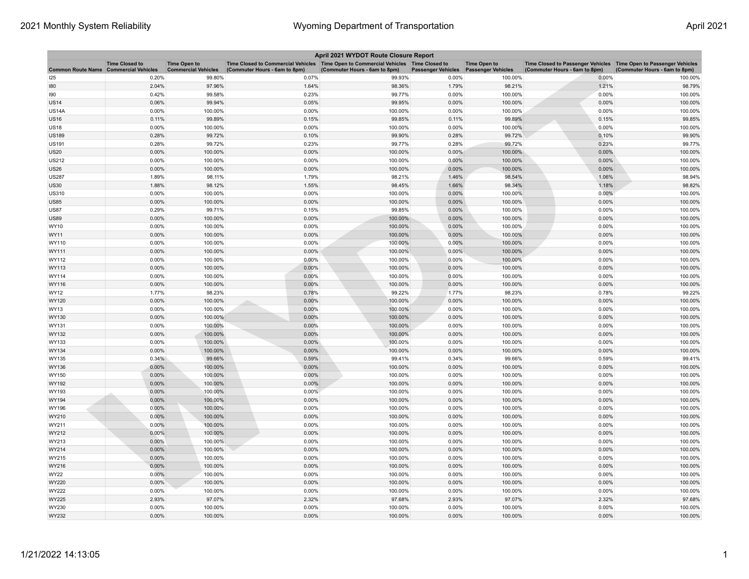| April 2021 WYDOT Route Closure Report |                                                     |                                                   |                                                                                                                       |                               |                           |                                                  |                                                                                                      |                               |  |
|---------------------------------------|-----------------------------------------------------|---------------------------------------------------|-----------------------------------------------------------------------------------------------------------------------|-------------------------------|---------------------------|--------------------------------------------------|------------------------------------------------------------------------------------------------------|-------------------------------|--|
| <b>Common Route Name</b>              | <b>Time Closed to</b><br><b>Commercial Vehicles</b> | <b>Time Open to</b><br><b>Commercial Vehicles</b> | Time Closed to Commercial Vehicles  Time Open to Commercial Vehicles  Time Closed to<br>(Commuter Hours - 6am to 8pm) | (Commuter Hours - 6am to 8pm) | <b>Passenger Vehicles</b> | <b>Time Open to</b><br><b>Passenger Vehicles</b> | Time Closed to Passenger Vehicles   Time Open to Passenger Vehicles<br>(Commuter Hours - 6am to 8pm) | (Commuter Hours - 6am to 8pm) |  |
| 125                                   | 0.20%                                               | 99.80%                                            | 0.07%                                                                                                                 | 99.93%                        | 0.00%                     | 100.00%                                          | 0.00%                                                                                                | 100.00%                       |  |
| 180                                   | 2.04%                                               | 97.96%                                            | 1.64%                                                                                                                 | 98.36%                        | 1.79%                     | 98.21%                                           | 1.21%                                                                                                | 98.79%                        |  |
| 90                                    | 0.42%                                               | 99.58%                                            | 0.23%                                                                                                                 | 99.77%                        | 0.00%                     | 100.00%                                          | 0.00%                                                                                                | 100.00%                       |  |
| <b>JS14</b>                           | 0.06%                                               | 99.94%                                            | 0.05%                                                                                                                 | 99.95%                        | 0.00%                     | 100.00%                                          | 0.00%                                                                                                | 100.00%                       |  |
| US14A                                 | 0.00%                                               | 100.00%                                           | 0.00%                                                                                                                 | 100.00%                       | 0.00%                     | 100.00%                                          | 0.00%                                                                                                | 100.00%                       |  |
| <b>JS16</b>                           | 0.11%                                               | 99.89%                                            | 0.15%                                                                                                                 | 99.85%                        | 0.11%                     | 99.89%                                           | 0.15%                                                                                                | 99.85%                        |  |
| <b>JS18</b>                           | 0.00%                                               | 100.00%                                           | 0.00%                                                                                                                 | 100.00%                       | 0.00%                     | 100.00%                                          | 0.00%                                                                                                | 100.00%                       |  |
| <b>JS189</b>                          | 0.28%                                               | 99.72%                                            | 0.10%                                                                                                                 | 99.90%                        | 0.28%                     | 99.72%                                           | 0.10%                                                                                                | 99.90%                        |  |
| US191                                 | 0.28%                                               | 99.72%                                            | 0.23%                                                                                                                 | 99.77%                        | 0.28%                     | 99.72%                                           | 0.23%                                                                                                | 99.77%                        |  |
| <b>JS20</b>                           | 0.00%                                               | 100.00%                                           | 0.00%                                                                                                                 | 100.00%                       | 0.00%                     | 100.00%                                          | 0.00%                                                                                                | 100.00%                       |  |
| <b>US212</b>                          | 0.00%                                               | 100.00%                                           | 0.00%                                                                                                                 | 100.00%                       | 0.00%                     | 100.00%                                          | 0.00%                                                                                                | 100.00%                       |  |
| <b>JS26</b>                           | 0.00%                                               | 100.00%                                           | 0.00%                                                                                                                 | 100.00%                       | 0.00%                     | 100.00%                                          | 0.00%                                                                                                | 100.00%                       |  |
| <b>JS287</b>                          | 1.89%                                               | 98.11%                                            | 1.79%                                                                                                                 | 98.21%                        | 1.46%                     | 98.54%                                           | 1.06%                                                                                                | 98.94%                        |  |
| <b>JS30</b>                           | 1.88%                                               | 98.12%                                            | 1.55%                                                                                                                 | 98.45%                        | 1.66%                     | 98.34%                                           | 1.18%                                                                                                | 98.82%                        |  |
| US310                                 | 0.00%                                               | 100.00%                                           | 0.00%                                                                                                                 | 100.00%                       | 0.00%                     | 100.00%                                          | 0.00%                                                                                                | 100.00%                       |  |
| <b>JS85</b>                           | 0.00%                                               | 100.00%                                           | 0.00%                                                                                                                 | 100.00%                       | 0.00%                     | 100.00%                                          | 0.00%                                                                                                | 100.00%                       |  |
| <b>JS87</b>                           | 0.29%                                               | 99.71%                                            | 0.15%                                                                                                                 | 99.85%                        | 0.00%                     | 100.00%                                          | 0.00%                                                                                                | 100.00%                       |  |
| <b>JS89</b>                           | 0.00%                                               | 100.00%                                           | 0.00%                                                                                                                 | 100.00%                       | 0.00%                     | 100.00%                                          | 0.00%                                                                                                | 100.00%                       |  |
| WY10                                  | 0.00%                                               | 100.00%                                           | 0.00%                                                                                                                 | 100.00%                       | 0.00%                     | 100.00%                                          | 0.00%                                                                                                | 100.00%                       |  |
| WY11                                  | $0.00\%$                                            | 100.00%                                           | 0.00%                                                                                                                 | 100.00%                       | 0.00%                     | 100.00%                                          | 0.00%                                                                                                | 100.00%                       |  |
| WY110                                 | 0.00%                                               | 100.00%                                           | 0.00%                                                                                                                 | 100.00%                       | 0.00%                     | 100.00%                                          | 0.00%                                                                                                | 100.00%                       |  |
| WY111                                 | 0.00%                                               | 100.00%                                           | 0.00%                                                                                                                 | 100.00%                       | 0.00%                     | 100.00%                                          | 0.00%                                                                                                | 100.00%                       |  |
| WY112                                 | 0.00%                                               | 100.00%                                           | 0.00%                                                                                                                 | 100.00%                       | 0.00%                     | 100.00%                                          | 0.00%                                                                                                | 100.00%                       |  |
| WY113                                 | 0.00%                                               | 100.00%                                           | 0.00%                                                                                                                 | 100.00%                       | 0.00%                     | 100.00%                                          | 0.00%                                                                                                | 100.00%                       |  |
| WY114                                 | 0.00%                                               | 100.00%                                           | 0.00%                                                                                                                 | 100.00%                       | 0.00%                     | 100.00%                                          | 0.00%                                                                                                | 100.00%                       |  |
| WY116                                 | $0.00\%$                                            | 100.00%                                           | 0.00%                                                                                                                 | 100.00%                       | 0.00%                     | 100.00%                                          | 0.00%                                                                                                | 100.00%                       |  |
| WY12                                  | 1.77%                                               | 98.23%                                            | 0.78%                                                                                                                 | 99.22%                        | 1.77%                     | 98.23%                                           | 0.78%                                                                                                | 99.22%                        |  |
| WY120                                 | 0.00%                                               | 100.00%                                           | 0.00%                                                                                                                 | 100.00%                       | 0.00%                     | 100.00%                                          | 0.00%                                                                                                | 100.00%                       |  |
| WY13                                  | 0.00%                                               | 100.00%                                           | 0.00%                                                                                                                 | 100.00%                       | 0.00%                     | 100.00%                                          | 0.00%                                                                                                | 100.00%                       |  |
| WY130                                 | 0.00%                                               | 100.00%                                           | 0.00%                                                                                                                 | 100.00%                       | 0.00%                     | 100.00%                                          | 0.00%                                                                                                | 100.00%                       |  |
| WY131                                 | 0.00%                                               | 100.00%                                           | 0.00%                                                                                                                 | 100.00%                       | 0.00%                     | 100.00%                                          | 0.00%                                                                                                | 100.00%                       |  |
| WY132                                 | 0.00%                                               | 100.00%                                           | 0.00%                                                                                                                 | 100.00%                       | 0.00%                     | 100.00%                                          | 0.00%                                                                                                | 100.00%                       |  |
| WY133<br>WY134                        | 0.00%<br>0.00%                                      | 100.00%<br>100.00%                                | 0.00%<br>0.00%                                                                                                        | 100.00%<br>100.00%            | 0.00%<br>0.00%            | 100.00%<br>100.00%                               | 0.00%<br>0.00%                                                                                       | 100.00%<br>100.00%            |  |
|                                       |                                                     |                                                   |                                                                                                                       |                               |                           |                                                  |                                                                                                      |                               |  |
| WY135<br>WY136                        | 0.34%<br>0.00%                                      | 99.66%<br>100.00%                                 | 0.59%<br>0.00%                                                                                                        | 99.41%<br>100.00%             | 0.34%<br>0.00%            | 99.66%<br>100.00%                                | 0.59%<br>0.00%                                                                                       | 99.41%<br>100.00%             |  |
| WY150                                 | 0.00%                                               | 100.00%                                           | 0.00%                                                                                                                 | 100.00%                       | 0.00%                     | 100.00%                                          | 0.00%                                                                                                | 100.00%                       |  |
| WY192                                 | 0.00%                                               | 100.00%                                           | 0.00%                                                                                                                 | 100.00%                       | 0.00%                     | 100.00%                                          | 0.00%                                                                                                | 100.00%                       |  |
| WY193                                 | 0.00%                                               | 100.00%                                           | 0.00%                                                                                                                 | 100.00%                       | 0.00%                     | 100.00%                                          | 0.00%                                                                                                | 100.00%                       |  |
| WY194                                 | 0.00%                                               | 100.00%                                           | 0.00%                                                                                                                 | 100.00%                       | 0.00%                     | 100.00%                                          | 0.00%                                                                                                | 100.00%                       |  |
| WY196                                 | 0.00%                                               | 100.00%                                           | 0.00%                                                                                                                 | 100.00%                       | 0.00%                     | 100.00%                                          | 0.00%                                                                                                | 100.00%                       |  |
| WY210                                 | 0.00%                                               | 100.00%                                           | 0.00%                                                                                                                 | 100.00%                       | 0.00%                     | 100.00%                                          | 0.00%                                                                                                | 100.00%                       |  |
| WY211                                 | 0.00%                                               | 100.00%                                           | 0.00%                                                                                                                 | 100.00%                       | 0.00%                     | 100.00%                                          | 0.00%                                                                                                | 100.00%                       |  |
| WY212                                 | 0.00%                                               | 100.00%                                           | 0.00%                                                                                                                 | 100.00%                       | 0.00%                     | 100.00%                                          | 0.00%                                                                                                | 100.00%                       |  |
| WY213                                 | 0.00%                                               | 100.00%                                           | 0.00%                                                                                                                 | 100.00%                       | 0.00%                     | 100.00%                                          | 0.00%                                                                                                | 100.00%                       |  |
| WY214                                 | 0.00%                                               | 100.00%                                           | 0.00%                                                                                                                 | 100.00%                       | 0.00%                     | 100.00%                                          | 0.00%                                                                                                | 100.00%                       |  |
| WY215                                 | 0.00%                                               | 100.00%                                           | 0.00%                                                                                                                 | 100.00%                       | 0.00%                     | 100.00%                                          | 0.00%                                                                                                | 100.00%                       |  |
| WY216                                 | 0.00%                                               | 100.00%                                           | 0.00%                                                                                                                 | 100.00%                       | 0.00%                     | 100.00%                                          | 0.00%                                                                                                | 100.00%                       |  |
| WY22                                  | 0.00%                                               | 100.00%                                           | 0.00%                                                                                                                 | 100.00%                       | 0.00%                     | 100.00%                                          | 0.00%                                                                                                | 100.00%                       |  |
| WY220                                 | 0.00%                                               | 100.00%                                           | 0.00%                                                                                                                 | 100.00%                       | 0.00%                     | 100.00%                                          | 0.00%                                                                                                | 100.00%                       |  |
| WY222                                 | 0.00%                                               | 100.00%                                           | 0.00%                                                                                                                 | 100.00%                       | 0.00%                     | 100.00%                                          | 0.00%                                                                                                | 100.00%                       |  |
| WY225                                 | 2.93%                                               | 97.07%                                            | 2.32%                                                                                                                 | 97.68%                        | 2.93%                     | 97.07%                                           | 2.32%                                                                                                | 97.68%                        |  |
| WY230                                 | 0.00%                                               | 100.00%                                           | 0.00%                                                                                                                 | 100.00%                       | 0.00%                     | 100.00%                                          | 0.00%                                                                                                | 100.00%                       |  |
| WY232                                 | 0.00%                                               | 100.00%                                           | 0.00%                                                                                                                 | 100.00%                       | 0.00%                     | 100.00%                                          | 0.00%                                                                                                | 100.00%                       |  |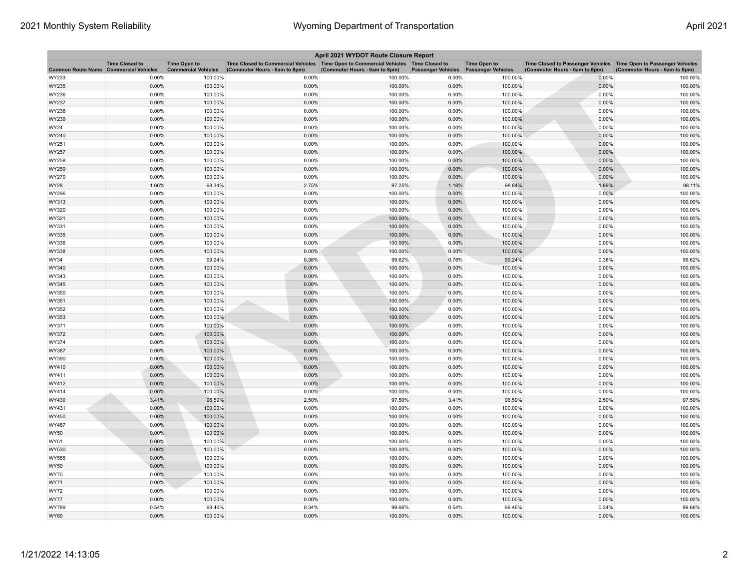| April 2021 WYDOT Route Closure Report |                       |                                                   |                                                                                                                         |                               |                           |                                                  |                                                                                                      |                               |  |
|---------------------------------------|-----------------------|---------------------------------------------------|-------------------------------------------------------------------------------------------------------------------------|-------------------------------|---------------------------|--------------------------------------------------|------------------------------------------------------------------------------------------------------|-------------------------------|--|
| Common Route Name Commercial Vehicles | <b>Time Closed to</b> | <b>Time Open to</b><br><b>Commercial Vehicles</b> | Time Closed to Commercial Vehicles   Time Open to Commercial Vehicles   Time Closed to<br>(Commuter Hours - 6am to 8pm) | (Commuter Hours - 6am to 8pm) | <b>Passenger Vehicles</b> | <b>Time Open to</b><br><b>Passenger Vehicles</b> | Time Closed to Passenger Vehicles   Time Open to Passenger Vehicles<br>(Commuter Hours - 6am to 8pm) | (Commuter Hours - 6am to 8pm) |  |
| WY233                                 | 0.00%                 | 100.00%                                           | 0.00%                                                                                                                   | 100.00%                       | 0.00%                     | 100.00%                                          | 0.00%                                                                                                | 100.00%                       |  |
| WY235                                 | 0.00%                 | 100.00%                                           | 0.00%                                                                                                                   | 100.00%                       | 0.00%                     | 100.00%                                          | 0.00%                                                                                                | 100.00%                       |  |
| WY236                                 | 0.00%                 | 100.00%                                           | 0.00%                                                                                                                   | 100.00%                       | 0.00%                     | 100.00%                                          | 0.00%                                                                                                | 100.00%                       |  |
| WY237                                 | 0.00%                 | 100.00%                                           | 0.00%                                                                                                                   | 100.00%                       | 0.00%                     | 100.00%                                          | 0.00%                                                                                                | 100.00%                       |  |
| WY238                                 | 0.00%                 | 100.00%                                           | 0.00%                                                                                                                   | 100.00%                       | 0.00%                     | 100.00%                                          | 0.00%                                                                                                | 100.00%                       |  |
| WY239                                 | 0.00%                 | 100.00%                                           | 0.00%                                                                                                                   | 100.00%                       | 0.00%                     | 100.00%                                          | 0.00%                                                                                                | 100.00%                       |  |
| WY24                                  | 0.00%                 | 100.00%                                           | 0.00%                                                                                                                   | 100.00%                       | 0.00%                     | 100.00%                                          | 0.00%                                                                                                | 100.00%                       |  |
| WY240                                 | 0.00%                 | 100.00%                                           | 0.00%                                                                                                                   | 100.00%                       | 0.00%                     | 100.00%                                          | 0.00%                                                                                                | 100.00%                       |  |
| WY251                                 | 0.00%                 | 100.00%                                           | 0.00%                                                                                                                   | 100.00%                       | 0.00%                     | 100.00%                                          | 0.00%                                                                                                | 100.00%                       |  |
| WY257                                 | 0.00%                 | 100.00%                                           | 0.00%                                                                                                                   | 100.00%                       | 0.00%                     | 100.00%                                          | 0.00%                                                                                                | 100.00%                       |  |
| WY258                                 | 0.00%                 | 100.00%                                           | 0.00%                                                                                                                   | 100.00%                       | 0.00%                     | 100.00%                                          | 0.00%                                                                                                | 100.00%                       |  |
| WY259                                 | 0.00%                 | 100.00%                                           | 0.00%                                                                                                                   | 100.00%                       | 0.00%                     | 100.00%                                          | 0.00%                                                                                                | 100.00%                       |  |
| WY270                                 | 0.00%                 | 100.00%                                           | 0.00%                                                                                                                   | 100.00%                       | 0.00%                     | 100.00%                                          | 0.00%                                                                                                | 100.00%                       |  |
| WY28                                  | 1.66%                 | 98.34%                                            | 2.75%                                                                                                                   | 97.25%                        | 1.16%                     | 98.84%                                           | 1.89%                                                                                                | 98.11%                        |  |
| WY296                                 | 0.00%                 | 100.00%                                           | 0.00%                                                                                                                   | 100.00%                       | 0.00%                     | 100.00%                                          | 0.00%                                                                                                | 100.00%                       |  |
| WY313                                 | 0.00%                 | 100.00%                                           | 0.00%                                                                                                                   | 100.00%                       | 0.00%                     | 100.00%                                          | 0.00%                                                                                                | 100.00%                       |  |
| WY320                                 | 0.00%                 | 100.00%                                           | 0.00%                                                                                                                   | 100.00%                       | 0.00%                     | 100.00%                                          | 0.00%                                                                                                | 100.00%                       |  |
| WY321                                 | 0.00%                 | 100.00%                                           | 0.00%                                                                                                                   | 100.00%                       | 0.00%                     | 100.00%                                          | 0.00%                                                                                                | 100.00%                       |  |
| WY331                                 | 0.00%                 | 100.00%                                           | 0.00%                                                                                                                   | 100.00%                       | 0.00%                     | 100.00%                                          | 0.00%                                                                                                | 100.00%                       |  |
| WY335                                 | 0.00%                 | 100.00%                                           | 0.00%                                                                                                                   | 100.00%                       | 0.00%                     | 100.00%                                          | 0.00%                                                                                                | 100.00%                       |  |
| WY336                                 | 0.00%                 | 100.00%                                           | 0.00%                                                                                                                   | 100.00%                       | 0.00%                     | 100.00%                                          | 0.00%                                                                                                | 100.00%                       |  |
| WY338                                 | 0.00%                 | 100.00%                                           | 0.00%                                                                                                                   | 100.00%                       | 0.00%                     | 100.00%                                          | 0.00%                                                                                                | 100.00%                       |  |
| WY34                                  | 0.76%                 | 99.24%                                            | 0.38%                                                                                                                   | 99.62%                        | 0.76%                     | 99.24%                                           | 0.38%                                                                                                | 99.62%                        |  |
| WY340                                 | 0.00%                 | 100.00%                                           | 0.00%                                                                                                                   | 100.00%                       | 0.00%                     | 100.00%                                          | 0.00%                                                                                                | 100.00%                       |  |
| WY343                                 | 0.00%                 | 100.00%                                           | 0.00%                                                                                                                   | 100.00%                       | 0.00%                     | 100.00%                                          | 0.00%                                                                                                | 100.00%                       |  |
| WY345                                 | 0.00%                 | 100.00%                                           | 0.00%                                                                                                                   | 100.00%                       | 0.00%                     | 100.00%                                          | 0.00%                                                                                                | 100.00%                       |  |
| WY350                                 | 0.00%                 | 100.00%                                           | 0.00%                                                                                                                   | 100.00%                       | 0.00%                     | 100.00%                                          | 0.00%                                                                                                | 100.00%                       |  |
| WY351                                 | 0.00%                 | 100.00%                                           | 0.00%                                                                                                                   | 100.00%                       | 0.00%                     | 100.00%                                          | 0.00%                                                                                                | 100.00%                       |  |
| WY352                                 | 0.00%                 | 100.00%                                           | 0.00%                                                                                                                   | 100.00%                       | 0.00%                     | 100.00%                                          | 0.00%                                                                                                | 100.00%                       |  |
| WY353                                 | 0.00%                 | 100.00%                                           | 0.00%                                                                                                                   | 100.00%                       | 0.00%                     | 100.00%                                          | 0.00%                                                                                                | 100.00%                       |  |
| WY371                                 | 0.00%                 | 100.00%                                           | 0.00%                                                                                                                   | 100.00%                       | 0.00%                     | 100.00%                                          | 0.00%                                                                                                | 100.00%                       |  |
| WY372                                 | 0.00%                 | 100.00%                                           | 0.00%                                                                                                                   | 100.00%                       | 0.00%                     | 100.00%                                          | 0.00%                                                                                                | 100.00%                       |  |
| WY374                                 | 0.00%                 | 100.00%                                           | 0.00%                                                                                                                   | 100.00%                       | 0.00%                     | 100.00%                                          | 0.00%                                                                                                | 100.00%                       |  |
| WY387                                 | 0.00%                 | 100.00%                                           | 0.00%                                                                                                                   | 100.00%                       | 0.00%                     | 100.00%                                          | 0.00%                                                                                                | 100.00%                       |  |
| WY390                                 | $0.00\%$              | 100.00%                                           | 0.00%                                                                                                                   | 100.00%                       | 0.00%                     | 100.00%                                          | 0.00%                                                                                                | 100.00%                       |  |
| WY410                                 | 0.00%                 | 100.00%                                           | 0.00%                                                                                                                   | 100.00%                       | 0.00%                     | 100.00%                                          | 0.00%                                                                                                | 100.00%                       |  |
| WY411                                 | 0.00%                 | 100.00%                                           | 0.00%                                                                                                                   | 100.00%                       | 0.00%                     | 100.00%                                          | 0.00%                                                                                                | 100.00%                       |  |
| WY412                                 | 0.00%                 | 100.00%                                           | 0.00%                                                                                                                   | 100.00%                       | 0.00%                     | 100.00%                                          | 0.00%                                                                                                | 100.00%                       |  |
| WY414                                 | 0.00%                 | 100.00%                                           | 0.00%                                                                                                                   | 100.00%                       | 0.00%                     | 100.00%                                          | 0.00%                                                                                                | 100.00%                       |  |
| WY430                                 | 3.41%                 | 96.59%                                            | 2.50%                                                                                                                   | 97.50%                        | 3.41%                     | 96.59%                                           | 2.50%                                                                                                | 97.50%                        |  |
| WY431                                 | 0.00%                 | 100.00%                                           | 0.00%                                                                                                                   | 100.00%                       | 0.00%                     | 100.00%                                          | 0.00%                                                                                                | 100.00%                       |  |
| WY450                                 | 0.00%                 | 100.00%                                           | 0.00%                                                                                                                   | 100.00%                       | 0.00%                     | 100.00%                                          | 0.00%                                                                                                | 100.00%                       |  |
| WY487                                 | 0.00%                 | 100.00%                                           | 0.00%                                                                                                                   | 100.00%                       | 0.00%                     | 100.00%                                          | 0.00%                                                                                                | 100.00%                       |  |
| WY50                                  | 0.00%                 | 100.00%                                           | 0.00%                                                                                                                   | 100.00%                       | 0.00%                     | 100.00%                                          | 0.00%                                                                                                | 100.00%                       |  |
| WY51                                  | 0.00%                 | 100.00%                                           | 0.00%                                                                                                                   | 100.00%                       | 0.00%                     | 100.00%                                          | 0.00%                                                                                                | 100.00%                       |  |
| WY530                                 | 0.00%                 | 100.00%                                           | 0.00%                                                                                                                   | 100.00%                       | 0.00%                     | 100.00%                                          | 0.00%                                                                                                | 100.00%                       |  |
| WY585                                 | 0.00%                 | 100.00%                                           | 0.00%                                                                                                                   | 100.00%                       | 0.00%                     | 100.00%                                          | 0.00%                                                                                                | 100.00%                       |  |
| WY59                                  | 0.00%                 | 100.00%                                           | 0.00%                                                                                                                   | 100.00%                       | 0.00%                     | 100.00%                                          | 0.00%                                                                                                | 100.00%                       |  |
| WY70                                  | 0.00%                 | 100.00%                                           | 0.00%                                                                                                                   | 100.00%                       | 0.00%                     | 100.00%                                          | 0.00%                                                                                                | 100.00%                       |  |
| WY71                                  | 0.00%                 | 100.00%                                           | 0.00%                                                                                                                   | 100.00%                       | 0.00%                     | 100.00%                                          | 0.00%                                                                                                | 100.00%                       |  |
| WY72                                  | 0.00%                 | 100.00%                                           | 0.00%                                                                                                                   | 100.00%                       | 0.00%                     | 100.00%                                          | 0.00%                                                                                                | 100.00%                       |  |
| <b>WY77</b>                           | 0.00%                 | 100.00%                                           | 0.00%                                                                                                                   | 100.00%                       | 0.00%                     | 100.00%                                          | 0.00%                                                                                                | 100.00%                       |  |
| WY789                                 | 0.54%                 | 99.46%                                            | 0.34%                                                                                                                   | 99.66%                        | 0.54%                     | 99.46%                                           | 0.34%                                                                                                | 99.66%                        |  |
| WY89                                  | 0.00%                 | 100.00%                                           | 0.00%                                                                                                                   | 100.00%                       | 0.00%                     | 100.00%                                          | 0.00%                                                                                                | 100.00%                       |  |